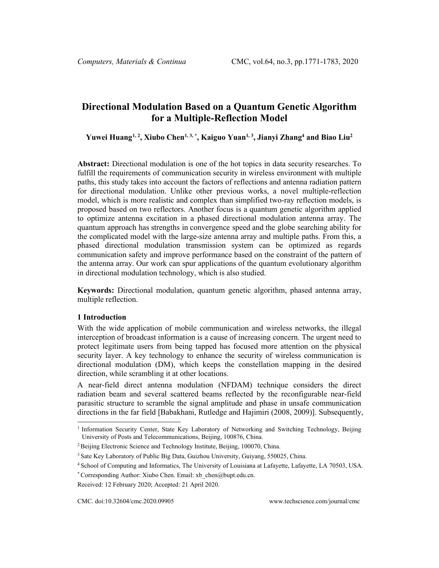# **Directional Modulation Based on a Quantum Genetic Algorithm for a Multiple-Reflection Model**

**Yuwei Huang[1](#page-0-0), <sup>2</sup> , Xiubo Chen1, 3, \*, Kaiguo Yuan1, 3 , Jianyi Zhang4 and Biao Liu2**

**Abstract:** Directional modulation is one of the hot topics in data security researches. To fulfill the requirements of communication security in wireless environment with multiple paths, this study takes into account the factors of reflections and antenna radiation pattern for directional modulation. Unlike other previous works, a novel multiple-reflection model, which is more realistic and complex than simplified two-ray reflection models, is proposed based on two reflectors. Another focus is a quantum genetic algorithm applied to optimize antenna excitation in a phased directional modulation antenna array. The quantum approach has strengths in convergence speed and the globe searching ability for the complicated model with the large-size antenna array and multiple paths. From this, a phased directional modulation transmission system can be optimized as regards communication safety and improve performance based on the constraint of the pattern of the antenna array. Our work can spur applications of the quantum evolutionary algorithm in directional modulation technology, which is also studied.

**Keywords:** Directional modulation, quantum genetic algorithm, phased antenna array, multiple reflection.

## **1 Introduction**

With the wide application of mobile communication and wireless networks, the illegal interception of broadcast information is a cause of increasing concern. The urgent need to protect legitimate users from being tapped has focused more attention on the physical security layer. A key technology to enhance the security of wireless communication is directional modulation (DM), which keeps the constellation mapping in the desired direction, while scrambling it at other locations.

A near-field direct antenna modulation (NFDAM) technique considers the direct radiation beam and several scattered beams reflected by the reconfigurable near-field parasitic structure to scramble the signal amplitude and phase in unsafe communication directions in the far field [Babakhani, Rutledge and Hajimiri (2008, 2009)]. Subsequently,

<span id="page-0-0"></span><sup>&</sup>lt;sup>1</sup> Information Security Center, State Key Laboratory of Networking and Switching Technology, Beijing University of Posts and Telecommunications, Beijing, 100876, China.

<sup>&</sup>lt;sup>2</sup> Beijing Electronic Science and Technology Institute, Beijing, 100070, China.

<sup>&</sup>lt;sup>3</sup> Sate Key Laboratory of Public Big Data, Guizhou University, Guiyang, 550025, China.

<sup>4</sup> School of Computing and Informatics, The University of Louisiana at Lafayette, Lafayette, LA 70503, USA.

<sup>\*</sup> Corresponding Author: Xiubo Chen. Email: xb\_chen@bupt.edu.cn.

Received: 12 February 2020; Accepted: 21 April 2020.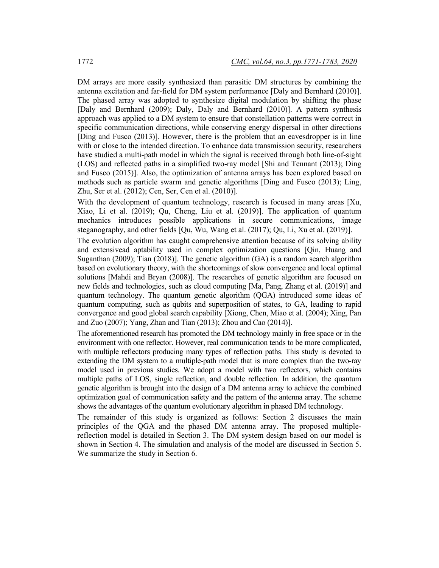DM arrays are more easily synthesized than parasitic DM structures by combining the antenna excitation and far-field for DM system performance [Daly and Bernhard (2010)]. The phased array was adopted to synthesize digital modulation by shifting the phase [Daly and Bernhard (2009); Daly, Daly and Bernhard (2010)]. A pattern synthesis approach was applied to a DM system to ensure that constellation patterns were correct in specific communication directions, while conserving energy dispersal in other directions [Ding and Fusco (2013)]. However, there is the problem that an eavesdropper is in line with or close to the intended direction. To enhance data transmission security, researchers have studied a multi-path model in which the signal is received through both line-of-sight (LOS) and reflected paths in a simplified two-ray model [Shi and Tennant (2013); Ding and Fusco (2015)]. Also, the optimization of antenna arrays has been explored based on methods such as particle swarm and genetic algorithms [Ding and Fusco (2013); Ling, Zhu, Ser et al. (2012); Cen, Ser, Cen et al. (2010)].

With the development of quantum technology, research is focused in many areas [Xu, Xiao, Li et al. (2019); Qu, Cheng, Liu et al. (2019)]. The application of quantum mechanics introduces possible applications in secure communications, image steganography, and other fields [Qu, Wu, Wang et al. (2017); Qu, Li, Xu et al. (2019)].

The evolution algorithm has caught comprehensive attention because of its solving ability and extensivead aptability used in complex optimization questions [Qin, Huang and Suganthan (2009); Tian (2018)]. The genetic algorithm (GA) is a random search algorithm based on evolutionary theory, with the shortcomings of slow convergence and local optimal solutions [Mahdi and Bryan (2008)]. The researches of genetic algorithm are focused on new fields and technologies, such as cloud computing [Ma, Pang, Zhang et al. (2019)] and quantum technology. The quantum genetic algorithm (QGA) introduced some ideas of quantum computing, such as qubits and superposition of states, to GA, leading to rapid convergence and good global search capability [Xiong, Chen, Miao et al. (2004); Xing, Pan and Zuo (2007); Yang, Zhan and Tian (2013); Zhou and Cao (2014)].

The aforementioned research has promoted the DM technology mainly in free space or in the environment with one reflector. However, real communication tends to be more complicated, with multiple reflectors producing many types of reflection paths. This study is devoted to extending the DM system to a multiple-path model that is more complex than the two-ray model used in previous studies. We adopt a model with two reflectors, which contains multiple paths of LOS, single reflection, and double reflection. In addition, the quantum genetic algorithm is brought into the design of a DM antenna array to achieve the combined optimization goal of communication safety and the pattern of the antenna array. The scheme shows the advantages of the quantum evolutionary algorithm in phased DM technology.

The remainder of this study is organized as follows: Section 2 discusses the main principles of the QGA and the phased DM antenna array. The proposed multiplereflection model is detailed in Section 3. The DM system design based on our model is shown in Section 4. The simulation and analysis of the model are discussed in Section 5. We summarize the study in Section 6.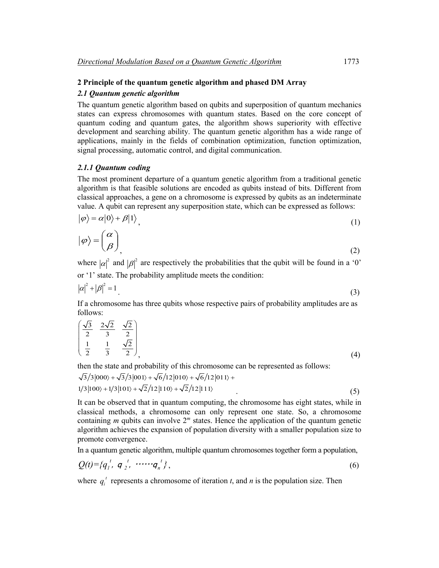## **2 Principle of the quantum genetic algorithm and phased DM Array**

## *2.1 Quantum genetic algorithm*

The quantum genetic algorithm based on qubits and superposition of quantum mechanics states can express chromosomes with quantum states. Based on the core concept of quantum coding and quantum gates, the algorithm shows superiority with effective development and searching ability. The quantum genetic algorithm has a wide range of applications, mainly in the fields of combination optimization, function optimization, signal processing, automatic control, and digital communication.

### *2.1.1 Quantum coding*

The most prominent departure of a quantum genetic algorithm from a traditional genetic algorithm is that feasible solutions are encoded as qubits instead of bits. Different from classical approaches, a gene on a chromosome is expressed by qubits as an indeterminate value. A qubit can represent any superposition state, which can be expressed as follows:

$$
|\varphi\rangle = \alpha|0\rangle + \beta|1\rangle, \tag{1}
$$

$$
|\varphi\rangle = \left(\begin{matrix} \alpha \\ \beta \end{matrix}\right)_{\!\!\!},\tag{2}
$$

where  $|\alpha|^2$  and  $|\beta|^2$  are respectively the probabilities that the qubit will be found in a '0' or '1' state. The probability amplitude meets the condition:

$$
|\alpha|^2 + |\beta|^2 = 1 \tag{3}
$$

If a chromosome has three qubits whose respective pairs of probability amplitudes are as follows:

$$
\begin{pmatrix}\n\frac{\sqrt{3}}{2} & \frac{2\sqrt{2}}{3} & \frac{\sqrt{2}}{2} \\
\frac{1}{2} & \frac{1}{3} & \frac{\sqrt{2}}{2}\n\end{pmatrix}
$$
\n(4)

then the state and probability of this chromosome can be represented as follows:

 $\frac{1}{3}\frac{3}{000}+\sqrt{3}/3|001\rangle+\sqrt{6}/12|010\rangle+\sqrt{6}/12|011\rangle+$ 

$$
1/3|100\rangle + 1/3|101\rangle + \sqrt{2}/12|110\rangle + \sqrt{2}/12|111\rangle
$$
\n(5)

It can be observed that in quantum computing, the chromosome has eight states, while in classical methods, a chromosome can only represent one state. So, a chromosome containing *m* qubits can involve  $2<sup>m</sup>$  states. Hence the application of the quantum genetic algorithm achieves the expansion of population diversity with a smaller population size to promote convergence.

In a quantum genetic algorithm, multiple quantum chromosomes together form a population,

$$
Q(t) = \{q_1^t, q_2^t, \cdots q_n^t\},\tag{6}
$$

where  $q_i^t$  represents a chromosome of iteration *t*, and *n* is the population size. Then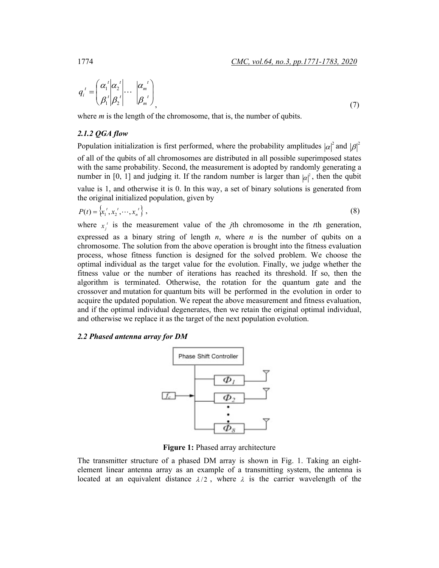$$
q_i^t = \begin{pmatrix} \alpha_1^t & \alpha_2^t \\ \beta_1^t & \beta_2^t \end{pmatrix} \cdots \begin{pmatrix} \alpha_m^t \\ \beta_m^t \end{pmatrix}, \tag{7}
$$

where *m* is the length of the chromosome, that is, the number of qubits.

## *2.1.2 QGA flow*

Population initialization is first performed, where the probability amplitudes  $|\alpha|^2$  and  $|\beta|^2$ of all of the qubits of all chromosomes are distributed in all possible superimposed states with the same probability. Second, the measurement is adopted by randomly generating a number in [0, 1] and judging it. If the random number is larger than  $|\alpha|^2$ , then the qubit value is 1, and otherwise it is 0. In this way, a set of binary solutions is generated from the original initialized population, given by

$$
P(t) = \left\{ x_1^t, x_2^t, \cdots, x_n^t \right\},\tag{8}
$$

where  $x_j$  is the measurement value of the *j*th chromosome in the *t*th generation, expressed as a binary string of length *n*, where *n* is the number of qubits on a chromosome. The solution from the above operation is brought into the fitness evaluation process, whose fitness function is designed for the solved problem. We choose the optimal individual as the target value for the evolution. Finally, we judge whether the fitness value or the number of iterations has reached its threshold. If so, then the algorithm is terminated. Otherwise, the rotation for the quantum gate and the crossover and mutation for quantum bits will be performed in the evolution in order to acquire the updated population. We repeat the above measurement and fitness evaluation, and if the optimal individual degenerates, then we retain the original optimal individual, and otherwise we replace it as the target of the next population evolution.

#### *2.2 Phased antenna array for DM*



**Figure 1:** Phased array architecture

The transmitter structure of a phased DM array is shown in Fig. 1. Taking an eightelement linear antenna array as an example of a transmitting system, the antenna is located at an equivalent distance  $\lambda/2$ , where  $\lambda$  is the carrier wavelength of the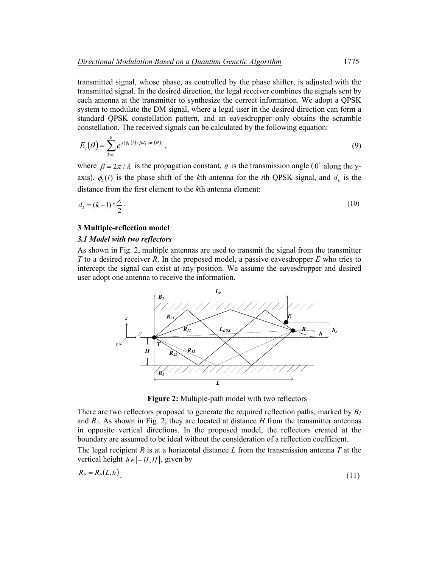transmitted signal, whose phase, as controlled by the phase shifter, is adjusted with the transmitted signal. In the desired direction, the legal receiver combines the signals sent by each antenna at the transmitter to synthesize the correct information. We adopt a QPSK system to modulate the DM signal, where a legal user in the desired direction can form a standard QPSK constellation pattern, and an eavesdropper only obtains the scramble constellation. The received signals can be calculated by the following equation:

$$
E_i(\theta) = \sum_{k=1}^8 e^{j[\phi_k(i) + \beta d_k \sin(\theta)]}, \qquad (9)
$$

where  $\beta = 2\pi/\lambda$  is the propagation constant,  $\theta$  is the transmission angle (0° along the yaxis),  $\phi_k(i)$  is the phase shift of the *k*th antenna for the *i*th QPSK signal, and  $d_k$  is the distance from the first element to the *k*th antenna element:

$$
d_k = (k-1) \cdot \frac{\lambda}{2} \tag{10}
$$

## **3 Multiple-reflection model**

#### *3.1 Model with two reflectors*

As shown in Fig. 2, multiple antennas are used to transmit the signal from the transmitter *T* to a desired receiver *R*. In the proposed model, a passive eavesdropper *E* who tries to intercept the signal can exist at any position. We assume the eavesdropper and desired user adopt one antenna to receive the information.



**Figure 2:** Multiple-path model with two reflectors

There are two reflectors proposed to generate the required reflection paths, marked by *B1* and  $B_2$ . As shown in Fig. 2, they are located at distance  $H$  from the transmitter antennas in opposite vertical directions. In the proposed model, the reflectors created at the boundary are assumed to be ideal without the consideration of a reflection coefficient.

The legal recipient *R* is at a horizontal distance *L* from the transmission antenna *T* at the vertical height  $h \in [-H, H]$ , given by

$$
R_P = R_P(L, h) \tag{11}
$$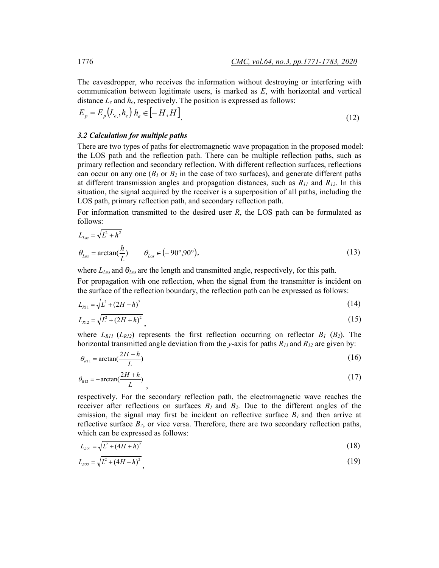The eavesdropper, who receives the information without destroying or interfering with communication between legitimate users, is marked as *E*, with horizontal and vertical distance *Le* and *he*, respectively. The position is expressed as follows:

$$
E_p = E_p(L_e, h_e) h_e \in [-H, H]
$$
\n(12)

## *3.2 Calculation for multiple paths*

There are two types of paths for electromagnetic wave propagation in the proposed model: the LOS path and the reflection path. There can be multiple reflection paths, such as primary reflection and secondary reflection. With different reflection surfaces, reflections can occur on any one  $(B_1 \text{ or } B_2 \text{ in the case of two surfaces})$ , and generate different paths at different transmission angles and propagation distances, such as *R11* and *R12*. In this situation, the signal acquired by the receiver is a superposition of all paths, including the LOS path, primary reflection path, and secondary reflection path.

For information transmitted to the desired user *R*, the LOS path can be formulated as follows:

$$
L_{Los} = \sqrt{L^2 + h^2}
$$
  
\n
$$
\theta_{Los} = \arctan(\frac{h}{L}) \qquad \theta_{Los} \in (-90^\circ, 90^\circ),
$$
\n(13)

where *LLos* and *θLos* are the length and transmitted angle, respectively, for this path.

For propagation with one reflection, when the signal from the transmitter is incident on the surface of the reflection boundary, the reflection path can be expressed as follows:

$$
L_{R11} = \sqrt{L^2 + (2H - h)^2} \tag{14}
$$

$$
L_{R12} = \sqrt{L^2 + (2H + h)^2} \tag{15}
$$

where  $L_{R11}$  ( $L_{R12}$ ) represents the first reflection occurring on reflector  $B_1$  ( $B_2$ ). The horizontal transmitted angle deviation from the *y*-axis for paths *R11* and *R12* are given by:

$$
\theta_{R11} = \arctan(\frac{2H - h}{L})
$$
\n(16)

$$
\theta_{R12} = -\arctan(\frac{2H + h}{L})\tag{17}
$$

respectively. For the secondary reflection path, the electromagnetic wave reaches the receiver after reflections on surfaces  $B_1$  and  $B_2$ . Due to the different angles of the emission, the signal may first be incident on reflective surface  $B_l$  and then arrive at reflective surface *B2*, or vice versa. Therefore, there are two secondary reflection paths, which can be expressed as follows:

$$
L_{R21} = \sqrt{L^2 + (4H + h)^2} \tag{18}
$$

$$
L_{R22} = \sqrt{L^2 + (4H - h)^2} \tag{19}
$$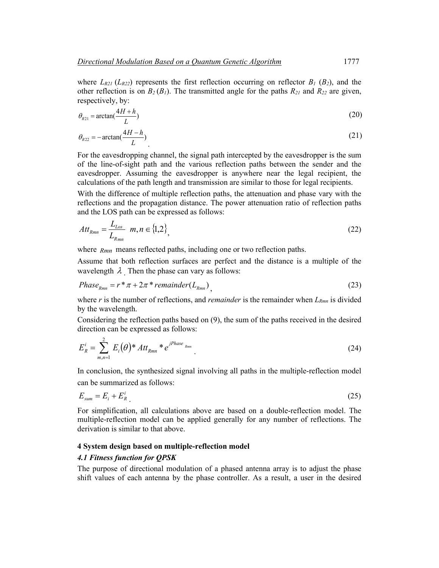where  $L_{R21}$  ( $L_{R22}$ ) represents the first reflection occurring on reflector  $B_1$  ( $B_2$ ), and the other reflection is on  $B_2(B_1)$ . The transmitted angle for the paths  $R_{21}$  and  $R_{22}$  are given, respectively, by:

$$
\theta_{R21} = \arctan(\frac{4H + h}{L})
$$
\n(20)

$$
\theta_{R22} = -\arctan(\frac{4H - h}{L})
$$
\n(21)

For the eavesdropping channel, the signal path intercepted by the eavesdropper is the sum of the line-of-sight path and the various reflection paths between the sender and the eavesdropper. Assuming the eavesdropper is anywhere near the legal recipient, the calculations of the path length and transmission are similar to those for legal recipients.

With the difference of multiple reflection paths, the attenuation and phase vary with the reflections and the propagation distance. The power attenuation ratio of reflection paths and the LOS path can be expressed as follows:

$$
Att_{Rmn} = \frac{L_{Loss}}{L_{Rmn}} \quad m, n \in \{1, 2\}, \tag{22}
$$

where  $R_{mn}$  means reflected paths, including one or two reflection paths.

Assume that both reflection surfaces are perfect and the distance is a multiple of the wavelength  $\lambda$  Then the phase can vary as follows:

$$
Phase_{Rmn} = r^* \pi + 2\pi^* remainder(L_{Rmn})
$$
\n(23)

where  $r$  is the number of reflections, and *remainder* is the remainder when  $L_{Rmn}$  is divided by the wavelength.

Considering the reflection paths based on (9), the sum of the paths received in the desired direction can be expressed as follows:

$$
E_R^i = \sum_{m,n=1}^2 E_i(\theta)^* At t_{Rmn}^* e^{jPhase_{Rmn}}.
$$
 (24)

In conclusion, the synthesized signal involving all paths in the multiple-reflection model can be summarized as follows:

$$
E_{sum} = E_i + E_R^i \tag{25}
$$

For simplification, all calculations above are based on a double-reflection model. The multiple-reflection model can be applied generally for any number of reflections. The derivation is similar to that above.

## **4 System design based on multiple-reflection model**

### *4.1 Fitness function for QPSK*

The purpose of directional modulation of a phased antenna array is to adjust the phase shift values of each antenna by the phase controller. As a result, a user in the desired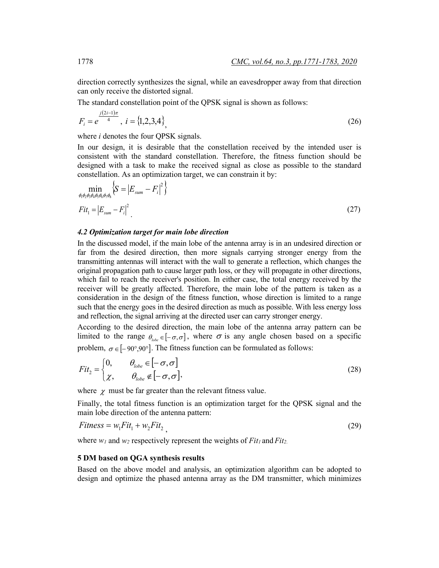direction correctly synthesizes the signal, while an eavesdropper away from that direction can only receive the distorted signal.

The standard constellation point of the QPSK signal is shown as follows:

$$
F_i = e^{\frac{j(2i-1)\pi}{4}}, \ i = \{1,2,3,4\}
$$
\n<sup>(26)</sup>

where *i* denotes the four QPSK signals.

In our design, it is desirable that the constellation received by the intended user is consistent with the standard constellation. Therefore, the fitness function should be designed with a task to make the received signal as close as possible to the standard constellation. As an optimization target, we can constrain it by:

$$
\min_{\phi_1 \phi_2 \phi_3 \phi_4 \phi_5 \phi_6 \phi_7 \phi_8} \left\{ S = \left| E_{sum} - F_i \right|^2 \right\}
$$
\n
$$
Fit_1 = \left| E_{sum} - F_i \right|^2
$$
\n(27)

#### *4.2 Optimization target for main lobe direction*

In the discussed model, if the main lobe of the antenna array is in an undesired direction or far from the desired direction, then more signals carrying stronger energy from the transmitting antennas will interact with the wall to generate a reflection, which changes the original propagation path to cause larger path loss, or they will propagate in other directions, which fail to reach the receiver's position. In either case, the total energy received by the receiver will be greatly affected. Therefore, the main lobe of the pattern is taken as a consideration in the design of the fitness function, whose direction is limited to a range such that the energy goes in the desired direction as much as possible. With less energy loss and reflection, the signal arriving at the directed user can carry stronger energy.

According to the desired direction, the main lobe of the antenna array pattern can be limited to the range  $\theta_{\text{lobe}} \in [-\sigma, \sigma]$ , where  $\sigma$  is any angle chosen based on a specific problem,  $\sigma \in [-90^{\circ}, 90^{\circ}]$ . The fitness function can be formulated as follows:

$$
Fit2 =\begin{cases} 0, & \theta_{lobe} \in [-\sigma, \sigma] \\ \chi, & \theta_{lobe} \notin [-\sigma, \sigma], \end{cases}
$$
 (28)

where  $\chi$  must be far greater than the relevant fitness value.

Finally, the total fitness function is an optimization target for the QPSK signal and the main lobe direction of the antenna pattern:

$$
Fitness = w_1Fit_1 + w_2 Fit_2 \tag{29}
$$

where  $w_1$  and  $w_2$  respectively represent the weights of  $Fit_1$  and  $Fit_2$ .

### **5 DM based on QGA synthesis results**

Based on the above model and analysis, an optimization algorithm can be adopted to design and optimize the phased antenna array as the DM transmitter, which minimizes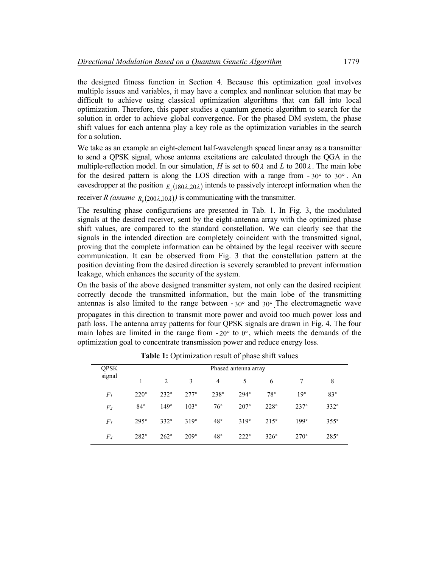the designed fitness function in Section 4. Because this optimization goal involves multiple issues and variables, it may have a complex and nonlinear solution that may be difficult to achieve using classical optimization algorithms that can fall into local optimization. Therefore, this paper studies a quantum genetic algorithm to search for the solution in order to achieve global convergence. For the phased DM system, the phase shift values for each antenna play a key role as the optimization variables in the search for a solution.

We take as an example an eight-element half-wavelength spaced linear array as a transmitter to send a QPSK signal, whose antenna excitations are calculated through the QGA in the multiple-reflection model. In our simulation, *H* is set to 60  $\lambda$  and *L* to 200  $\lambda$ . The main lobe for the desired pattern is along the LOS direction with a range from  $-30^{\circ}$  to  $30^{\circ}$ . An eavesdropper at the position  $E_{180\lambda,20\lambda}$  intends to passively intercept information when the

receiver *R* (assume  $R_p(200\lambda,10\lambda)$ ) is communicating with the transmitter.

The resulting phase configurations are presented in Tab. 1. In Fig. 3, the modulated signals at the desired receiver, sent by the eight-antenna array with the optimized phase shift values, are compared to the standard constellation. We can clearly see that the signals in the intended direction are completely coincident with the transmitted signal, proving that the complete information can be obtained by the legal receiver with secure communication. It can be observed from Fig. 3 that the constellation pattern at the position deviating from the desired direction is severely scrambled to prevent information leakage, which enhances the security of the system.

On the basis of the above designed transmitter system, not only can the desired recipient correctly decode the transmitted information, but the main lobe of the transmitting antennas is also limited to the range between  $-30^{\circ}$  and  $30^{\circ}$ . The electromagnetic wave propagates in this direction to transmit more power and avoid too much power loss and path loss. The antenna array patterns for four QPSK signals are drawn in Fig. 4. The four main lobes are limited in the range from  $-20^{\circ}$  to  $0^{\circ}$ , which meets the demands of the optimization goal to concentrate transmission power and reduce energy loss.

| <b>QPSK</b><br>signal | Phased antenna array |                    |             |              |             |              |             |             |
|-----------------------|----------------------|--------------------|-------------|--------------|-------------|--------------|-------------|-------------|
|                       |                      | $\mathfrak{D}_{1}$ | 3           | 4            | 5           | 6            |             | 8           |
| $F_I$                 | $220^\circ$          | $232^\circ$        | $277^\circ$ | $238^\circ$  | $294^\circ$ | $78^{\circ}$ | $19^\circ$  | $83^\circ$  |
| F <sub>2</sub>        | $84^{\circ}$         | $149^\circ$        | $103^\circ$ | $76^{\circ}$ | $207^\circ$ | $228^\circ$  | $237^\circ$ | $332^\circ$ |
| $F_3$                 | $295^\circ$          | $332^\circ$        | $319^\circ$ | $48^{\circ}$ | $319^\circ$ | $215^\circ$  | $199^\circ$ | $355^\circ$ |
| $F_{4}$               | $282^\circ$          | $262^\circ$        | $209^\circ$ | $48^{\circ}$ | $222^\circ$ | $326^\circ$  | $270^\circ$ | $285^\circ$ |

Table 1: Optimization result of phase shift values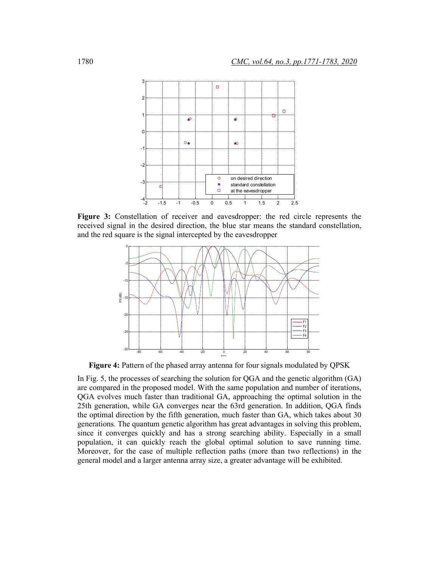

**Figure 3:** Constellation of receiver and eavesdropper: the red circle represents the received signal in the desired direction, the blue star means the standard constellation, and the red square is the signal intercepted by the eavesdropper



Figure 4: Pattern of the phased array antenna for four signals modulated by QPSK

In Fig. 5, the processes of searching the solution for QGA and the genetic algorithm (GA) are compared in the proposed model. With the same population and number of iterations, QGA evolves much faster than traditional GA, approaching the optimal solution in the 25th generation, while GA converges near the 63rd generation. In addition, QGA finds the optimal direction by the fifth generation, much faster than GA, which takes about 30 generations. The quantum genetic algorithm has great advantages in solving this problem, since it converges quickly and has a strong searching ability. Especially in a small population, it can quickly reach the global optimal solution to save running time. Moreover, for the case of multiple reflection paths (more than two reflections) in the general model and a larger antenna array size, a greater advantage will be exhibited.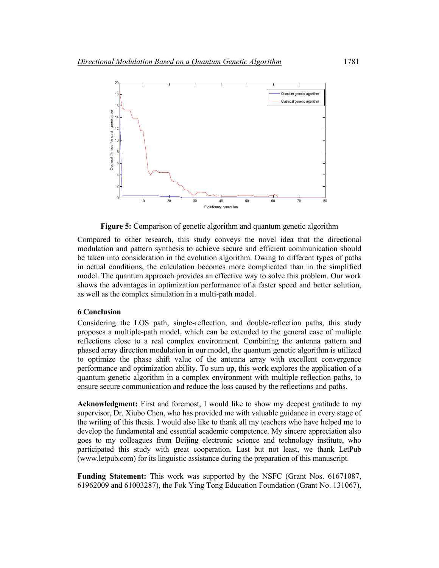

**Figure 5:** Comparison of genetic algorithm and quantum genetic algorithm

Compared to other research, this study conveys the novel idea that the directional modulation and pattern synthesis to achieve secure and efficient communication should be taken into consideration in the evolution algorithm. Owing to different types of paths in actual conditions, the calculation becomes more complicated than in the simplified model. The quantum approach provides an effective way to solve this problem. Our work shows the advantages in optimization performance of a faster speed and better solution, as well as the complex simulation in a multi-path model.

## **6 Conclusion**

Considering the LOS path, single-reflection, and double-reflection paths, this study proposes a multiple-path model, which can be extended to the general case of multiple reflections close to a real complex environment. Combining the antenna pattern and phased array direction modulation in our model, the quantum genetic algorithm is utilized to optimize the phase shift value of the antenna array with excellent convergence performance and optimization ability. To sum up, this work explores the application of a quantum genetic algorithm in a complex environment with multiple reflection paths, to ensure secure communication and reduce the loss caused by the reflections and paths.

**Acknowledgment:** First and foremost, I would like to show my deepest gratitude to my supervisor, Dr. Xiubo Chen, who has provided me with valuable guidance in every stage of the writing of this thesis. I would also like to thank all my teachers who have helped me to develop the fundamental and essential academic competence. My sincere appreciation also goes to my colleagues from Beijing electronic science and technology institute, who participated this study with great cooperation. Last but not least, we thank LetPub (www.letpub.com) for its linguistic assistance during the preparation of this manuscript.

**Funding Statement:** This work was supported by the NSFC (Grant Nos. 61671087, 61962009 and 61003287), the Fok Ying Tong Education Foundation (Grant No. 131067),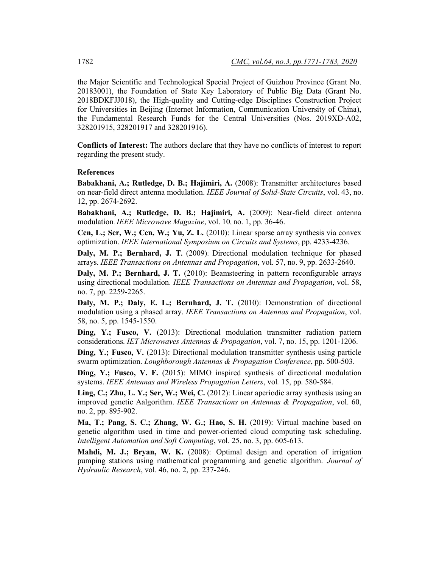the Major Scientific and Technological Special Project of Guizhou Province (Grant No. 20183001), the Foundation of State Key Laboratory of Public Big Data (Grant No. 2018BDKFJJ018), the High-quality and Cutting-edge Disciplines Construction Project for Universities in Beijing (Internet Information, Communication University of China), the Fundamental Research Funds for the Central Universities (Nos. 2019XD-A02, 328201915, 328201917 and 328201916).

**Conflicts of Interest:** The authors declare that they have no conflicts of interest to report regarding the present study.

#### **References**

**Babakhani, A.; Rutledge, D. B.; Hajimiri, A.** (2008): Transmitter architectures based on near-field direct antenna modulation. *IEEE Journal of Solid-State Circuits*, vol. 43, no. 12, pp. 2674-2692.

**Babakhani, A.; Rutledge, D. B.; Hajimiri, A.** (2009): Near-field direct antenna modulation. *IEEE Microwave Magazine*, vol. 10, no. 1, pp. 36-46.

**Cen, L.; Ser, W.; Cen, W.; Yu, Z. L.** (2010): Linear sparse array synthesis via convex optimization. *IEEE International Symposium on Circuits and Systems*, pp. 4233-4236.

**Daly, M. P.; Bernhard, J. T.** (2009): Directional modulation technique for phased arrays. *IEEE Transactions on Antennas and Propagation*, vol*.* 57, no. 9, pp. 2633-2640.

**Daly, M. P.; Bernhard, J. T.** (2010): Beamsteering in pattern reconfigurable arrays using directional modulation. *IEEE Transactions on Antennas and Propagation*, vol. 58, no. 7, pp. 2259-2265.

**Daly, M. P.; Daly, E. L.; Bernhard, J. T.** (2010): Demonstration of directional modulation using a phased array. *IEEE Transactions on Antennas and Propagation*, vol. 58, no. 5, pp. 1545-1550.

**Ding, Y.; Fusco, V.** (2013): Directional modulation transmitter radiation pattern considerations. *IET Microwaves Antennas & Propagation*, vol. 7, no. 15, pp. 1201-1206.

**Ding, Y.; Fusco, V.** (2013): Directional modulation transmitter synthesis using particle swarm optimization. *Loughborough Antennas & Propagation Conference*, pp. 500-503.

**Ding, Y.; Fusco, V. F.** (2015): MIMO inspired synthesis of directional modulation systems. *IEEE Antennas and Wireless Propagation Letters*, vol*.* 15, pp. 580-584.

**Ling, C.; Zhu, L. Y.; Ser, W.; Wei, C.** (2012): Linear aperiodic array synthesis using an improved genetic Aalgorithm. *IEEE Transactions on Antennas & Propagation*, vol. 60, no. 2, pp. 895-902.

**Ma, T.; Pang, S. C.; Zhang, W. G.; Hao, S. H.** (2019): Virtual machine based on genetic algorithm used in time and power-oriented cloud computing task scheduling. *Intelligent Automation and Soft Computing*, vol. 25, no. 3, pp. 605-613.

**Mahdi, M. J.; Bryan, W. K.** (2008): Optimal design and operation of irrigation pumping stations using mathematical programming and genetic algorithm. *Journal of Hydraulic Research*, vol. 46, no. 2, pp. 237-246.